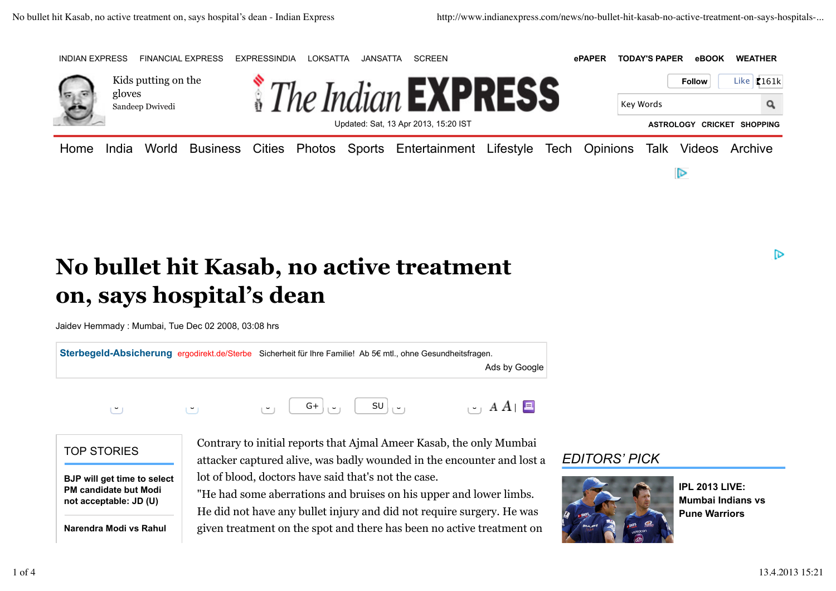

## **No bullet hit Kasab, no active treatment on, says hospital's dean**

Jaidev Hemmady : Mumbai, Tue Dec 02 2008, 03:08 hrs

**Sterbegeld-Absicherung** ergodirekt.de/Sterbe Sicherheit für Ihre Familie! Ab 5€ mtl., ohne Gesundheitsfragen. Ads by Google  $\left| \cdot \right|$   $A$   $A$   $\left| \right|$   $\Box$ TOP STORIES Contrary to initial reports that Ajmal Ameer Kasab, the only Mumbai 0 0 0 G+ 0 SU 0 0

**BJP will get time to select PM candidate but Modi not acceptable: JD (U)**

**Narendra Modi vs Rahul**

attacker captured alive, was badly wounded in the encounter and lost a lot of blood, doctors have said that's not the case.

"He had some aberrations and bruises on his upper and lower limbs. He did not have any bullet injury and did not require surgery. He was given treatment on the spot and there has been no active treatment on

## *EDITORS' PICK*



**IPL 2013 LIVE: Mumbai Indians vs Pune Warriors**

D